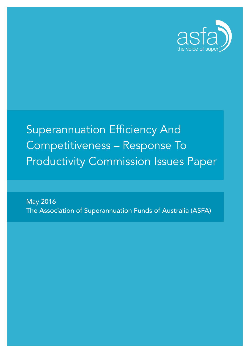

# Superannuation Efficiency And Competitiveness – Response To Productivity Commission Issues Paper

May 2016 The Association of Superannuation Funds of Australia (ASFA)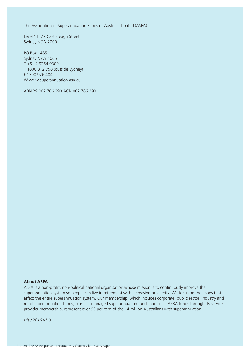The Association of Superannuation Funds of Australia Limited (ASFA)

Level 11, 77 Castlereagh Street Sydney NSW 2000

PO Box 1485 Sydney NSW 1005 T +61 2 9264 9300 T 1800 812 798 (outside Sydney) F 1300 926 484 W www.superannuation.asn.au

ABN 29 002 786 290 ACN 002 786 290

#### **About ASFA**

ASFA is a non-profit, non-political national organisation whose mission is to continuously improve the superannuation system so people can live in retirement with increasing prosperity. We focus on the issues that affect the entire superannuation system. Our membership, which includes corporate, public sector, industry and retail superannuation funds, plus self-managed superannuation funds and small APRA funds through its service provider membership, represent over 90 per cent of the 14 million Australians with superannuation.

*May 2016 v1.0*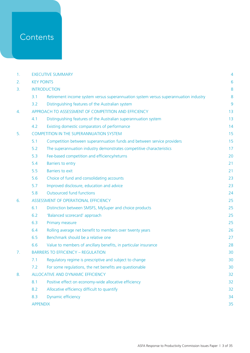# **Contents**

| 1. | <b>EXECUTIVE SUMMARY</b>                             |                                                                                      |    |
|----|------------------------------------------------------|--------------------------------------------------------------------------------------|----|
| 2. | <b>KEY POINTS</b>                                    |                                                                                      |    |
| 3. | <b>INTRODUCTION</b>                                  |                                                                                      |    |
|    | 3.1                                                  | Retirement income system versus superannuation system versus superannuation industry | 8  |
|    | 3.2                                                  | Distinguishing features of the Australian system                                     | 9  |
| 4. | APPROACH TO ASSESSMENT OF COMPETITION AND EFFICIENCY |                                                                                      |    |
|    | 4.1                                                  | Distinguishing features of the Australian superannuation system                      | 13 |
|    | 4.2                                                  | Existing domestic comparators of performance                                         | 14 |
| 5. | <b>COMPETITION IN THE SUPERANNUATION SYSTEM</b>      |                                                                                      |    |
|    | 5.1                                                  | Competition between superannuation funds and between service providers               | 15 |
|    | 5.2                                                  | The superannuation industry demonstrates competitive characteristics                 | 17 |
|    | 5.3                                                  | Fee-based competition and efficiency/returns                                         | 20 |
|    | 5.4                                                  | Barriers to entry                                                                    | 21 |
|    | 5.5                                                  | <b>Barriers to exit</b>                                                              | 21 |
|    | 5.6                                                  | Choice of fund and consolidating accounts                                            | 23 |
|    | 5.7                                                  | Improved disclosure, education and advice                                            | 23 |
|    | 5.8                                                  | <b>Outsourced fund functions</b>                                                     | 24 |
| 6. | ASSESSMENT OF OPERATIONAL EFFICIENCY                 |                                                                                      |    |
|    | 6.1                                                  | Distinction between SMSFS, MySuper and choice products                               | 25 |
|    | 6.2                                                  | 'Balanced scorecard' approach                                                        | 25 |
|    | 6.3                                                  | Primary measure                                                                      | 25 |
|    | 6.4                                                  | Rolling average net benefit to members over twenty years                             | 26 |
|    | 6.5                                                  | Benchmark should be a relative one                                                   | 27 |
|    | 6.6                                                  | Value to members of ancillary benefits, in particular insurance                      | 28 |
| 7. | <b>BARRIERS TO EFFICIENCY - REGULATION</b>           |                                                                                      |    |
|    | 7.1                                                  | Regulatory regime is prescriptive and subject to change                              | 30 |
|    | 7.2                                                  | For some regulations, the net benefits are questionable                              | 30 |
| 8. | ALLOCATIVE AND DYNAMIC EFFICIENCY                    |                                                                                      |    |
|    | 8.1                                                  | Positive effect on economy-wide allocative efficiency                                | 32 |
|    | 8.2                                                  | Allocative efficiency difficult to quantify                                          | 32 |
|    | 8.3                                                  | Dynamic efficiency                                                                   | 34 |
|    | <b>APPENDIX</b>                                      |                                                                                      | 35 |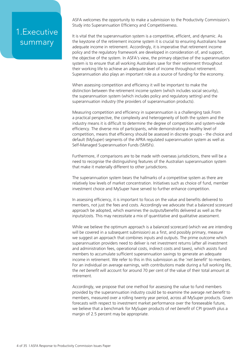# 1.Executive summary

ASFA welcomes the opportunity to make a submission to the Productivity Commission's Study into Superannuation Efficiency and Competitiveness.

It is vital that the superannuation system is a competitive, efficient, and dynamic. As the keystone of the retirement income system it is crucial to ensuring Australians have adequate income in retirement. Accordingly, it is imperative that retirement income policy and the regulatory framework are developed in consideration of, and support, the objective of the system. In ASFA's view, the primary objective of the superannuation system is to ensure that all working Australians save for their retirement throughout their working life to achieve an adequate level of income throughout retirement. Superannuation also plays an important role as a source of funding for the economy.

When assessing competition and efficiency it will be important to make the distinction between the retirement income system (which includes social security), the superannuation system (which includes policy and regulatory setting) and the superannuation industry (the providers of superannuation products).

Measuring competition and efficiency in superannuation is a challenging task.From a practical perspective, the complexity and heterogeneity of both the system and the industry means it is difficult to determine the degree of competition and system-wide efficiency. The diverse mix of participants, while demonstrating a healthy level of competition, means that efficiency should be assessed in discrete groups - the choice and default (MySuper) segments of the APRA regulated superannuation system as well as Self-Managed Superannuation Funds (SMSFs).

Furthermore, if comparisons are to be made with overseas jurisdictions, there will be a need to recognise the distinguishing features of the Australian superannuation system that make it materially different to other jurisdictions.

The superannuation system bears the hallmarks of a competitive system as there are relatively low levels of market concentration. Initiatives such as choice of fund, member investment choice and MySuper have served to further enhance competition.

In assessing efficiency, it is important to focus on the value and benefits delivered to members, not just the fees and costs. Accordingly we advocate that a balanced scorecard approach be adopted, which examines the outputs/benefits delivered as well as the inputs/costs. This may necessitate a mix of quantitative and qualitative assessment.

While we believe the optimum approach is a balanced scorecard (which we are intending will be covered in a subsequent submission) as a first, and possibly primary, measure we suggest an approach that combines inputs and outputs. The prime outcome which superannuation providers need to deliver is net investment returns (after all investment and administration fees, operational costs, indirect costs and taxes), which assists fund members to accumulate sufficient superannuation savings to generate an adequate income in retirement. We refer to this in this submission as the '*net benefit*' to members. For an individual on average earnings, with contributions made during a full working life, the *net benefit* will account for around 70 per cent of the value of their total amount at retirement.

Accordingly, we propose that one method for assessing the value to fund members provided by the superannuation industry could be to examine the average *net benefit* to members, measured over a rolling twenty year period, across all MySuper products. Given forecasts with respect to investment market performance over the foreseeable future, we believe that a benchmark for MySuper products of *net benefit* of CPI growth plus a margin of 2.5 percent may be appropriate.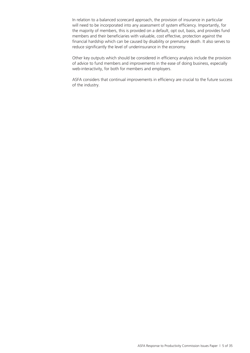In relation to a balanced scorecard approach, the provision of insurance in particular will need to be incorporated into any assessment of system efficiency. Importantly, for the majority of members, this is provided on a default, opt out, basis, and provides fund members and their beneficiaries with valuable, cost effective, protection against the financial hardship which can be caused by disability or premature death. It also serves to reduce significantly the level of underinsurance in the economy.

Other key outputs which should be considered in efficiency analysis include the provision of advice to fund members and improvements in the ease of doing business, especially web-interactivity, for both for members and employers.

ASFA considers that continual improvements in efficiency are crucial to the future success of the industry.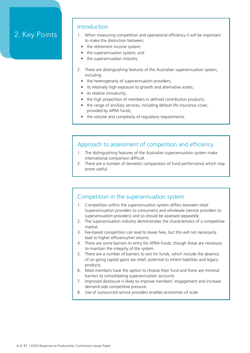# 2. Key Points

### Introduction

- 1. When measuring competition and operational efficiency it will be important to make the distinction between;
	- the retirement income system;
	- the superannuation system; and
	- the superannuation industry.
- 2. There are distinguishing features of the Australian superannuation system, including
	- the heterogeneity of superannuation providers;
	- its relatively high exposure to growth and alternative assets;
	- its relative immaturity;
	- the high proportion of members in defined contribution products:
	- the range of ancillary services, including default life insurance cover, provided by APRA funds;
	- the volume and complexity of regulatory requirements.

### Approach to assessment of competition and efficiency

- 1. The distinguishing features of the Australian superannuation system make international comparison difficult.
- 2. There are a number of domestic comparators of fund performance which may prove useful.

### Competition in the superannuation system

- 1. Competition within the superannuation system differs between retail (superannuation providers to consumers) and wholesale (service providers to superannuation providers) and so should be assessed separately.
- 2. The superannuation industry demonstrates the characteristics of a competitive market.
- 3. Fee-based competition can lead to lower fees, but this will not necessarily lead to higher efficiency/net returns.
- 4. There are some barriers to entry for APRA-funds, though these are necessary to maintain the integrity of the system.
- 5. There are a number of barriers to exit for funds, which include the absence of on going capital gains tax relief, potential to inherit liabilities and legacy products.
- 6. Most members have the option to choose their fund and there are minimal barriers to consolidating superannuation accounts.
- 7. Improved disclosure is likely to improve members' engagement and increase demand-side competitive pressure.
- 8. Use of outsourced service providers enables economies of scale.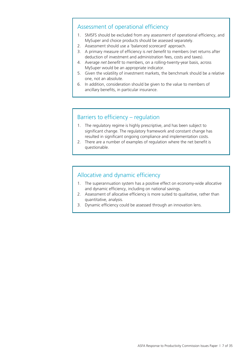### Assessment of operational efficiency

- 1. SMSFS should be excluded from any assessment of operational efficiency, and MySuper and choice products should be assessed separately.
- 2. Assessment should use a 'balanced scorecard' approach.
- 3. A primary measure of efficiency is *net benefit* to members (net returns after deduction of investment and administration fees, costs and taxes).
- 4. Average *net benefit* to members, on a rolling-twenty-year basis, across MySuper would be an appropriate indicator.
- 5. Given the volatility of investment markets, the benchmark should be a relative one, not an absolute.
- 6. In addition, consideration should be given to the value to members of ancillary benefits, in particular insurance.

### Barriers to efficiency – regulation

- 1. The regulatory regime is highly prescriptive, and has been subject to significant change. The regulatory framework and constant change has resulted in significant ongoing compliance and implementation costs.
- 2. There are a number of examples of regulation where the net benefit is questionable.

### Allocative and dynamic efficiency

- 1. The superannuation system has a positive effect on economy-wide allocative and dynamic efficiency, including on national savings.
- 2. Assessment of allocative efficiency is more suited to qualitative, rather than quantitative, analysis.
- 3. Dynamic efficiency could be assessed through an innovation lens.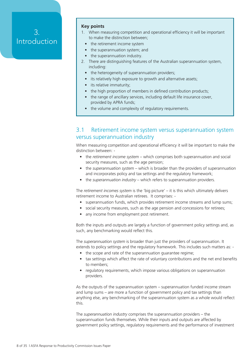# 3. Introduction

#### **Key points**

- 1. When measuring competition and operational efficiency it will be important to make the distinction between;
	- the retirement income system
	- the superannuation system; and
	- the superannuation industry.
- 2. There are distinguishing features of the Australian superannuation system, including:
	- the heterogeneity of superannuation providers;
	- its relatively high exposure to growth and alternative assets;
	- its relative immaturity;
	- the high proportion of members in defined contribution products;
	- the range of ancillary services, including default life insurance cover, provided by APRA funds;
	- the volume and complexity of regulatory requirements.

### 3.1 Retirement income system versus superannuation system versus superannuation industry

When measuring competition and operational efficiency it will be important to make the distinction between: -

- the *retirement income system* which comprises both superannuation and social security measures, such as the age pension;
- the *superannuation system* which is broader than the providers of superannuation and incorporates policy and tax settings and the regulatory framework;
- the *superannuation industry* which refers to superannuation providers.

The *retirement incomes system* is the 'big picture' – it is this which ultimately delivers retirement income to Australian retirees. It comprises: -

- superannuation funds, which provides retirement income streams and lump sums;
- social security measures, such as the age pension and concessions for retirees;
- any income from employment post retirement.

Both the inputs and outputs are largely a function of government policy settings and, as such, any benchmarking would reflect this.

The *superannuation system* is broader than just the providers of superannuation. It extends to policy settings and the regulatory framework. This includes such matters as: -

- the scope and rate of the superannuation guarantee regime;
- tax settings which affect the rate of voluntary contributions and the net end benefits to members;
- regulatory requirements, which impose various obligations on superannuation providers.

As the outputs of the superannuation system – superannuation funded income stream and lump sums – are more a function of government policy and tax settings than anything else, any benchmarking of the superannuation system as a whole would reflect this.

The *superannuation industry* comprises the superannuation providers – the superannuation funds themselves. While their inputs and outputs are affected by government policy settings, regulatory requirements and the performance of investment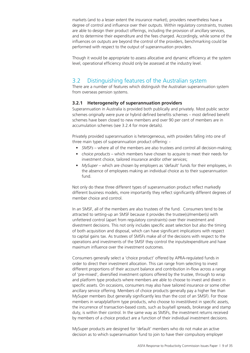markets (and to a lesser extent the insurance market), providers nevertheless have a degree of control and influence over their outputs. Within regulatory constraints, trustees are able to design their product offerings, including the provision of ancillary services, and to determine their expenditure and the fees charged. Accordingly, while some of the influences on outputs are beyond the control of the providers, benchmarking could be performed with respect to the output of superannuation providers.

Though it would be appropriate to assess allocative and dynamic efficiency at the system level, operational efficiency should only be assessed at the industry level.

### 3.2 Distinguishing features of the Australian system

There are a number of features which distinguish the Australian superannuation system from overseas pension systems.

#### **3.2.1 Heterogeneity of superannuation providers**

Superannuation in Australia is provided both publically and privately. Most public sector schemes originally were pure or hybrid defined benefits schemes – most defined benefit schemes have been closed to new members and over 90 per cent of members are in accumulation schemes (see 3.2.4 for more details).

Privately provided superannuation is heterogeneous, with providers falling into one of three main types of superannuation product offering: -

- *• SMSFs* where all of the members are also trustees and control all decision-making;
- *• choice products* which members have chosen to acquire to meet their needs for investment choice, tailored insurance and/or other services;
- *• MySuper* which are chosen by employers as 'default' funds for their employees, in the absence of employees making an individual choice as to their superannuation fund.

Not only do these three different types of superannuation product reflect markedly different business models, more importantly they reflect significantly different degrees of member choice and control.

In an SMSF, all of the members are also trustees of the fund. Consumers tend to be attracted to setting-up an SMSF because it provides the trustee(s)/member(s) with unfettered control (apart from regulatory constraints) over their investment and divestment decisions. This not only includes specific asset selection but also the timing of both acquisition and disposal, which can have significant implications with respect to capital gains tax. As trustees of SMSFs make all of the decisions with respect to the operations and investments of the SMSF they control the inputs/expenditure and have maximum influence over the investment outcomes.

Consumers generally select a 'choice product' offered by APRA-regulated funds in order to direct their investment allocation. This can range from selecting to invest different proportions of their account balance and contribution in-flow across a range of 'pre-mixed', diversified investment options offered by the trustee, through to wrap and platform type products where members are able to choose to invest and divest in specific assets. On occasions, consumers may also have tailored insurance or some other ancillary service offering. Members of choice products generally pay a higher fee than MySuper members (but generally significantly less than the cost of an SMSF). For those members in wrap/platform type products, who choose to invest/divest in specific assets, the incurrence of transaction-based costs, such as buy/sell spreads, brokerage and stamp duty, is within their control. In the same way as SMSFs, the investment returns received by members of a choice product are a function of their individual investment decisions.

MySuper products are designed for 'default' members who do not make an active decision as to which superannuation fund to join to have their compulsory employer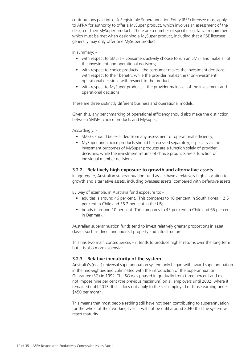contributions paid into. A Registrable Superannuation Entity (RSE) licensee must apply to APRA for authority to offer a MySuper product, which involves an assessment of the design of their MySuper product. There are a number of specific legislative requirements, which must be met when designing a MySuper product, including that a RSE licensee generally may only offer one MySuper product.

#### In summary: -

- with respect to SMSFs consumers actively choose to run an SMSF and make all of the investment and operational decisions;
- with respect to choice products the consumer makes the investment decisions with respect to their benefit, while the provider makes the (non-investment) operational decisions with respect to the product;
- with respect to MySuper products the provider makes all of the investment and operational decisions.

These are three distinctly different business and operational models.

Given this, any benchmarking of operational efficiency should also make the distinction between SMSFs, choice products and MySuper.

Accordingly: -

- SMSFS should be excluded from any assessment of operational efficiency;
- MySuper and choice products should be assessed separately, especially as the investment outcomes of MySuper products are a function solely of provider decisions, while the investment returns of choice products are a function of individual member decisions.

#### **3.2.2 Relatively high exposure to growth and alternative assets**

In aggregate, Australian superannuation fund assets have a relatively high allocation to growth and alternative assets, including overseas assets, compared with defensive assets.

By way of example, in Australia fund exposure to: -

- equities is around 46 per cent. This compares to 10 per cent in South Korea, 12.5 per cent in Chile and 38.2 per cent in the US;
- bonds is around 10 per cent. This compares to 45 per cent in Chile and 65 per cent in Denmark.

Australian superannuation funds tend to invest relatively greater proportions in asset classes such as direct and indirect property and infrastructure.

This has two main consequences – it tends to produce higher returns over the long term but it is also more expensive.

#### **3.2.3 Relative immaturity of the system**

Australia's (near) universal superannuation system only began with award superannuation in the mid-eighties and culminated with the introduction of the Superannuation Guarantee (SG) in 1992. The SG was phased in gradually from three percent and did not impose nine per cent (the previous maximum) on all employers until 2002, where it remained until 2013. It still does not apply to the self-employed or those earning under \$450 per month.

This means that most people retiring still have not been contributing to superannuation for the whole of their working lives. It will not be until around 2040 that the system will reach maturity.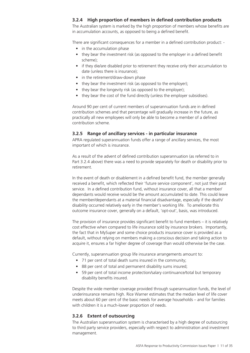#### **3.2.4 High proportion of members in defined contribution products**

The Australian system is marked by the high proportion of members whose benefits are in accumulation accounts, as opposed to being a defined benefit.

There are significant consequences for a member in a defined contribution product: -

- in the accumulation phase
- they bear the investment risk (as opposed to the employer in a defined benefit scheme);
- if they die/are disabled prior to retirement they receive only their accumulation to date (unless there is insurance);
- in the retirement/draw-down phase
- they bear the investment risk (as opposed to the employer);
- they bear the longevity risk (as opposed to the employer);
- they bear the cost of the fund directly (unless the employer subsidises).

Around 90 per cent of current members of superannuation funds are in defined contribution schemes and that percentage will gradually increase in the future, as practically all new employees will only be able to become a member of a defined contribution scheme.

#### **3.2.5 Range of ancillary services - in particular insurance**

APRA regulated superannuation funds offer a range of ancillary services, the most important of which is insurance.

As a result of the advent of defined contribution superannuation (as referred to in Part 3.2.4 above) there was a need to provide separately for death or disability prior to retirement.

In the event of death or disablement in a defined benefit fund, the member generally received a benefit, which reflected their 'future service component', not just their past service. In a defined contribution fund, without insurance cover, all that a member/ dependants would receive would be the amount accumulated to date. This could leave the member/dependants at a material financial disadvantage, especially if the death/ disability occurred relatively early in the member's working life. To ameliorate this outcome insurance cover, generally on a default, 'opt-out', basis, was introduced.

The provision of insurance provides significant benefit to fund members – it is relatively cost effective when compared to life insurance sold by insurance brokers. Importantly, the fact that in MySuper and some choice products insurance cover is provided as a default, without relying on members making a conscious decision and taking action to acquire it, ensures a far higher degree of coverage than would otherwise be the case.

Currently, superannuation group life insurance arrangements amount to:

- 71 per cent of total death sums insured in the community;
- 88 per cent of total and permanent disability sums insured;
- 59 per cent of total income protection/salary continuance/total but temporary disability benefits insured.

Despite the wide member coverage provided through superannuation funds, the level of underinsurance remains high. Rice Warner estimates that the median level of life cover meets about 60 per cent of the basic needs for average households – and for families with children it is a much-lower proportion of needs.

#### **3.2.6 Extent of outsourcing**

The Australian superannuation system is characterised by a high degree of outsourcing to third party service providers, especially with respect to administration and investment management.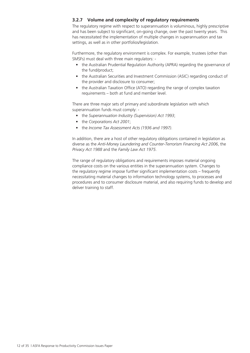#### **3.2.7 Volume and complexity of regulatory requirements**

The regulatory regime with respect to superannuation is voluminous, highly prescriptive and has been subject to significant, on-going change, over the past twenty years. This has necessitated the implementation of multiple changes in superannuation and tax settings, as well as in other portfolios/legislation.

Furthermore, the regulatory environment is complex. For example, trustees (other than SMSFs) must deal with three main regulators: -

- the Australian Prudential Regulation Authority (APRA) regarding the governance of the fund/product;
- the Australian Securities and Investment Commission (ASIC) regarding conduct of the provider and disclosure to consumer;
- the Australian Taxation Office (ATO) regarding the range of complex taxation requirements – both at fund and member level.

There are three major sets of primary and subordinate legislation with which superannuation funds must comply: -

- the *Superannuation Industry (Supervision) Act 1993*;
- the *Corporations Act 2001*;
- the *Income Tax Assessment Acts (1936 and 1997)*.

In addition, there are a host of other regulatory obligations contained in legislation as diverse as the *Anti-Money Laundering and Counter-Terrorism Financing Act 2006*, the *Privacy Act 1988* and the *Family Law Act 1975*.

The range of regulatory obligations and requirements imposes material ongoing compliance costs on the various entities in the superannuation system. Changes to the regulatory regime impose further significant implementation costs – frequently necessitating material changes to information technology systems, to processes and procedures and to consumer disclosure material, and also requiring funds to develop and deliver training to staff.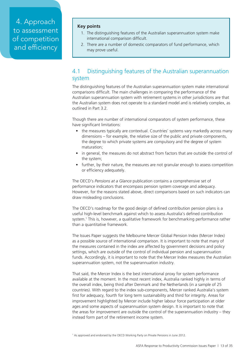4. Approach to assessment of competition and efficiency

#### **Key points**

- 1. The distinguishing features of the Australian superannuation system make international comparison difficult.
- 2. There are a number of domestic comparators of fund performance, which may prove useful.

### 4.1 Distinguishing features of the Australian superannuation system

The distinguishing features of the Australian superannuation system make international comparisons difficult. The main challenges in comparing the performance of the Australian superannuation system with retirement systems in other jurisdictions are that the Australian system does not operate to a standard model and is relatively complex, as outlined in Part 3.2.

Though there are number of international comparators of system performance, these have significant limitations:

- the measures typically are contextual. Countries' systems vary markedly across many dimensions – for example, the relative size of the public and private components, the degree to which private systems are compulsory and the degree of system maturation;
- in general, the measures do not abstract from factors that are outside the control of the system;
- further, by their nature, the measures are not granular enough to assess competition or efficiency adequately.

The OECD's *Pensions at a Glance* publication contains a comprehensive set of performance indicators that encompass pension system coverage and adequacy. However, for the reasons stated above, direct comparisons based on such indicators can draw misleading conclusions.

The OECD's roadmap for the good design of defined contribution pension plans is a useful high-level benchmark against which to assess Australia's defined contribution system.1 This is, however, a qualitative framework for benchmarking performance rather than a quantitative framework.

The Issues Paper suggests the Melbourne Mercer Global Pension Index (Mercer Index) as a possible source of international comparison. It is important to note that many of the measures contained in the index are affected by government decisions and policy settings, which are outside of the control of individual pension and superannuation funds. Accordingly, it is important to note that the Mercer Index measures the Australian superannuation system, not the superannuation industry.

That said, the Mercer Index is the best international proxy for system performance available at the moment. In the most recent index, Australia ranked highly in terms of the overall index, being third after Denmark and the Netherlands (in a sample of 25 countries). With regard to the index sub-components, Mercer ranked Australia's system first for adequacy, fourth for long term sustainability and third for integrity. Areas for improvement highlighted by Mercer include higher labour force participation at older ages and some aspects of superannuation system design. It is important to note that the areas for improvement are outside the control of the superannuation industry – they instead form part of the retirement income system.

<sup>1</sup> As approved and endorsed by the OECD Working Party on Private Pensions in June 2012.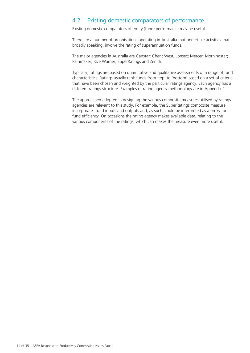### 4.2 Existing domestic comparators of performance

Existing domestic comparators of entity (fund) performance may be useful.

There are a number of organisations operating in Australia that undertake activities that, broadly speaking, involve the rating of superannuation funds.

The major agencies in Australia are Canstar; Chant West; Lonsec; Mercer; Morningstar; Rainmaker; Rice Warner; SuperRatings and Zenith.

Typically, ratings are based on quantitative and qualitative assessments of a range of fund characteristics. Ratings usually rank funds from 'top' to 'bottom' based on a set of criteria that have been chosen and weighted by the particular ratings agency. Each agency has a different ratings structure. Examples of rating agency methodology are in Appendix 1.

The approached adopted in designing the various composite measures utilised by ratings agencies are relevant to this study. For example, the SuperRatings composite measure incorporates fund inputs and outputs and, as such, could be interpreted as a proxy for fund efficiency. On occasions the rating agency makes available data, relating to the various components of the ratings, which can makes the measure even more useful.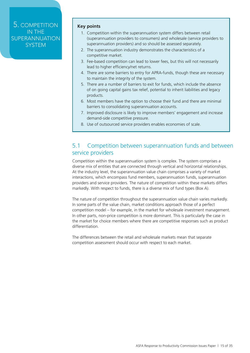### 5. COMPETITION IN THE **SUPERANNUATION SYSTEM**

#### **Key points**

- 1. Competition within the superannuation system differs between retail (superannuation providers to consumers) and wholesale (service providers to superannuation providers) and so should be assessed separately.
- 2. The superannuation industry demonstrates the characteristics of a competitive market.
- 3. Fee-based competition can lead to lower fees, but this will not necessarily lead to higher efficiency/net returns.
- 4. There are some barriers to entry for APRA-funds, though these are necessary to maintain the integrity of the system.
- 5. There are a number of barriers to exit for funds, which include the absence of on going capital gains tax relief, potential to inherit liabilities and legacy products.
- 6. Most members have the option to choose their fund and there are minimal barriers to consolidating superannuation accounts.
- 7. Improved disclosure is likely to improve members' engagement and increase demand-side competitive pressure.
- 8. Use of outsourced service providers enables economies of scale.

### 5.1 Competition between superannuation funds and between service providers

Competition within the superannuation system is complex. The system comprises a diverse mix of entities that are connected through vertical and horizontal relationships. At the industry level, the superannuation value chain comprises a variety of market interactions, which encompass fund members, superannuation funds, superannuation providers and service providers. The nature of competition within these markets differs markedly. With respect to funds, there is a diverse mix of fund types (Box A).

The nature of competition throughout the superannuation value chain varies markedly. In some parts of the value chain, market conditions approach those of a perfect competition model – for example, in the market for wholesale investment management. In other parts, non-price competition is more dominant. This is particularly the case in the market for choice members where there are competitive responses such as product differentiation.

The differences between the retail and wholesale markets mean that separate competition assessment should occur with respect to each market.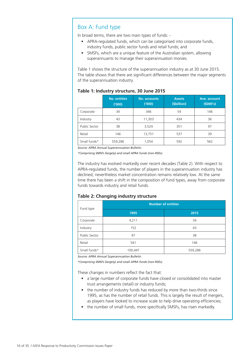### Box A: Fund type

In broad terms, there are two main types of funds: -

- APRA-regulated funds, which can be categorised into corporate funds, industry funds, public sector funds and retail funds; and
- SMSFs, which are a unique feature of the Australian system, allowing superannuants to manage their superannuation monies.

Table 1 shows the structure of the superannuation industry as at 30 June 2015. The table shows that there are significant differences between the major segments of the superannuation industry.

|               | <b>No. entities</b><br>(000) | No. accounts<br>(1000) | <b>Assets</b><br>(\$billion) | Ave. account<br>(5000's) |
|---------------|------------------------------|------------------------|------------------------------|--------------------------|
| Corporate     | 34                           | 346                    | 54                           | 146                      |
| Industry      | 43                           | 11,303                 | 434                          | 36                       |
| Public Sector | 38                           | 3,524                  | 351                          | 97                       |
| Retail        | 146                          | 13,751                 | 537                          | 39                       |
| Small funds*  | 559,286                      | 1,054                  | 592                          | 562                      |

#### **Table 1: Industry structure, 30 June 2015**

*Source: APRA Annual Superannuation Bulletin.*

*\*Comprising SMSFs (largely) and small APRA funds (non-RSEs).*

The industry has evolved markedly over recent decades (Table 2). With respect to APRA-regulated funds, the number of players in the superannuation industry has declined, nevertheless market concentration remains relatively low. At the same time there has been a shift in the composition of fund types, away from corporate funds towards industry and retail funds.

#### **Table 2: Changing industry structure**

| Fund type     | <b>Number of entities</b> |         |  |  |
|---------------|---------------------------|---------|--|--|
|               | 1995                      | 2015    |  |  |
| Corporate     | 4,211                     | 34      |  |  |
| Industry      | 152                       | 43      |  |  |
| Public Sector | 97                        | 38      |  |  |
| Retail        | 541                       | 146     |  |  |
| Small funds*  | 100,447                   | 559,286 |  |  |

*Source: APRA Annual Superannuation Bulletin*

*\*Comprising SMSFs (largely) and small APRA funds (non-RSEs).*

These changes in numbers reflect the fact that:

- a large number of corporate funds have closed or consolidated into master trust arrangements (retail) or industry funds;
- the number of industry funds has reduced by more than two-thirds since 1995, as has the number of retail funds. This is largely the result of mergers, as players have looked to increase scale to help drive operating efficiencies;
- the number of small funds, more specifically SMSFs, has risen markedly.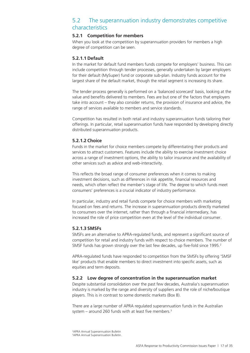### 5.2 The superannuation industry demonstrates competitive characteristics

#### **5.2.1 Competition for members**

When you look at the competition by superannuation providers for members a high degree of competition can be seen.

#### **5.2.1.1 Default**

In the market for default fund members funds compete for employers' business. This can include competition through tender processes, generally undertaken by larger employers for their default (MySuper) fund or corporate sub-plan. Industry funds account for the largest share of the default market, though the retail segment is increasing its share.

The tender process generally is performed on a 'balanced scorecard' basis, looking at the value and benefits delivered to members. Fees are but one of the factors that employers take into account – they also consider returns, the provision of insurance and advice, the range of services available to members and service standards.

Competition has resulted in both retail and industry superannuation funds tailoring their offerings. In particular, retail superannuation funds have responded by developing directly distributed superannuation products.

#### **5.2.1.2 Choice**

Funds in the market for choice members compete by differentiating their products and services to attract customers. Features include the ability to exercise investment choice across a range of investment options, the ability to tailor insurance and the availability of other services such as advice and web-interactivity.

This reflects the broad range of consumer preferences when it comes to making investment decisions, such as differences in risk appetite, financial resources and needs, which often reflect the member's stage of life. The degree to which funds meet consumers' preferences is a crucial indicator of industry performance.

In particular, industry and retail funds compete for choice members with marketing focused on fees and returns. The increase in superannuation products directly marketed to consumers over the internet, rather than through a financial intermediary, has increased the role of price competition even at the level of the individual consumer.

#### **5.2.1.3 SMSFs**

SMSFs are an alternative to APRA-regulated funds, and represent a significant source of competition for retail and industry funds with respect to choice members. The number of SMSF funds has grown strongly over the last few decades, up five-fold since 1995.<sup>2</sup>

APRA-regulated funds have responded to competition from the SMSFs by offering 'SMSF like' products that enable members to direct investment into specific assets, such as equities and term deposits.

#### **5.2.2 Low degree of concentration in the superannuation market**

Despite substantial consolidation over the past few decades, Australia's superannuation industry is marked by the range and diversity of suppliers and the role of niche/boutique players. This is in contrast to some domestic markets (Box B).

There are a large number of APRA regulated superannuation funds in the Australian system – around 260 funds with at least five members. $3$ 

2 APRA Annual Superannuation Bulletin 3 APRA Annual Superannuation Bulletin.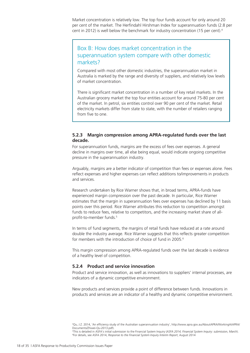Market concentration is relatively low. The top four funds account for only around 20 per cent of the market. The Herfindahl Hirshman Index for superannuation funds (2.8 per cent in 2012) is well below the benchmark for industry concentration (15 per cent).4

### Box B: How does market concentration in the superannuation system compare with other domestic markets?

Compared with most other domestic industries, the superannuation market in Australia is marked by the range and diversity of suppliers, and relatively low levels of market concentration.

There is significant market concentration in a number of key retail markets. In the Australian grocery market the top four entities account for around 75-80 per cent of the market. In petrol, six entities control over 90 per cent of the market. Retail electricity markets differ from state to state, with the number of retailers ranging from five to one.

#### **5.2.3 Margin compression among APRA-regulated funds over the last decade.**

For superannuation funds, margins are the excess of fees over expenses. A general decline in margins over time, all else being equal, would indicate ongoing competitive pressure in the superannuation industry.

Arguably, margins are a better indicator of competition than fees or expenses alone. Fees reflect expenses and higher expenses can reflect additions to/improvements in products and services.

Research undertaken by Rice Warner shows that, in broad terms, APRA-funds have experienced margin compression over the past decade. In particular, Rice Warner estimates that the margin in superannuation fees over expenses has declined by 11 basis points over this period. Rice Warner attributes this reduction to competition amongst funds to reduce fees, relative to competitors, and the increasing market share of allprofit-to-member funds.<sup>5</sup>

In terms of fund segments, the margins of retail funds have reduced at a rate around double the industry average. Rice Warner suggests that this reflects greater competition for members with the introduction of choice of fund in 2005.6

This margin compression among APRA-regulated funds over the last decade is evidence of a healthy level of competition.

#### **5.2.4 Product and service innovation**

Product and service innovation, as well as innovations to suppliers' internal processes, are indicators of a dynamic competitive environment.

New products and services provide a point of difference between funds. Innovations in products and services are an indicator of a healthy and dynamic competitive environment.

4 Qu, J.Z. 2014, 'An efficiency study of the Australian superannuation industry', http://www.apra.gov.au/AboutAPRA/WorkingAtAPRA/ Documents/Zhiwei-Qu-2013.pdf).

5 This is detailed in ASFA's initial submission to the Financial System Inquiry (*ASFA 2014, Financial System Inquiry: submission, March*). 6 For details, see ASFA 2014, *Response to the Financial System Inquiry Interim Report*, August 2014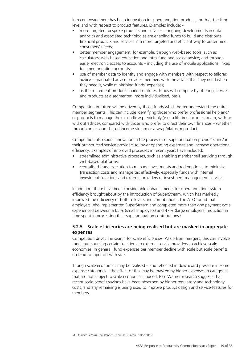In recent years there has been innovation in superannuation products, both at the fund level and with respect to product features. Examples include: -

- more targeted, bespoke products and services ongoing developments in data analytics and associated technologies are enabling funds to build and distribute financial products and services in a more targeted and efficient way to better meet consumers' needs;
- better member engagement, for example, through web-based tools, such as calculators; web-based education and intra-fund and scaled advice; and through easier electronic access to accounts – including the use of mobile applications linked to superannuation accounts;
- use of member data to identify and engage with members with respect to tailored advice – graduated advice provides members with the advice that they need when they need it, while minimising funds' expenses;
- as the retirement products market matures, funds will compete by offering services and products at a segmented, more individualised, basis.

Competition in future will be driven by those funds which better understand the retiree member segments. This can include identifying those who prefer professional help and/ or products to manage their cash flow predictably (e.g. a lifetime income stream, with or without advice), compared with those who prefer to direct their own finances – whether through an account-based income stream or a wrap/platform product.

Competition also spurs innovation in the processes of superannuation providers and/or their out-sourced service providers to lower operating expenses and increase operational efficiency. Examples of improved processes in recent years have included:

- streamlined administrative processes, such as enabling member self servicing through web-based platforms;
- centralised trade execution to manage investments and redemptions, to minimise transaction costs and manage tax effectively, especially funds with internal investment functions and external providers of investment management services.

In addition, there have been considerable enhancements to superannuation system efficiency brought about by the introduction of SuperStream, which has markedly improved the efficiency of both rollovers and contributions. The ATO found that employers who implemented SuperStream and completed more than one payment cycle experienced between a 65% (small employers) and 47% (large employers) reduction in time spent in processing their superannuation contributions.<sup>7</sup>

#### **5.2.5 Scale efficiencies are being realised but are masked in aggregate expenses**

Competition drives the search for scale efficiencies. Aside from mergers, this can involve funds out-sourcing certain functions to external service providers to achieve scale economies. In general, fund expenses per member decline with scale but scale benefits do tend to taper off with size.

Though scale economies may be realised – and reflected in downward pressure in some expense categories – the effect of this may be masked by higher expenses in categories that are not subject to scale economies. Indeed, Rice Warner research suggests that recent scale benefit savings have been absorbed by higher regulatory and technology costs, and any remaining is being used to improve product design and service features for members.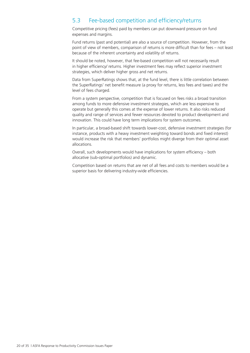### 5.3 Fee-based competition and efficiency/returns

Competitive pricing (fees) paid by members can put downward pressure on fund expenses and margins.

Fund returns (past and potential) are also a source of competition. However, from the point of view of members, comparison of returns is more difficult than for fees – not least because of the inherent uncertainty and volatility of returns.

It should be noted, however, that fee-based competition will not necessarily result in higher efficiency/ returns. Higher investment fees may reflect superior investment strategies, which deliver higher gross and net returns.

Data from SuperRatings shows that, at the fund level, there is little correlation between the SuperRatings' net benefit measure (a proxy for returns, less fees and taxes) and the level of fees charged.

From a system perspective, competition that is focused on fees risks a broad transition among funds to more defensive investment strategies, which are less expensive to operate but generally this comes at the expense of lower returns. It also risks reduced quality and range of services and fewer resources devoted to product development and innovation. This could have long term implications for system outcomes.

In particular, a broad-based shift towards lower-cost, defensive investment strategies (for instance, products with a heavy investment weighting toward bonds and fixed interest) would increase the risk that members' portfolios might diverge from their optimal asset allocations.

Overall, such developments would have implications for system efficiency – both allocative (sub-optimal portfolios) and dynamic.

Competition based on returns that are net of all fees and costs to members would be a superior basis for delivering industry-wide efficiencies.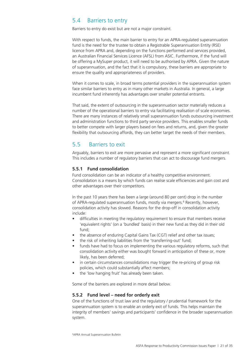### 5.4 Barriers to entry

Barriers to entry do exist but are not a major constraint.

With respect to funds, the main barrier to entry for an APRA-regulated superannuation fund is the need for the trustee to obtain a Registrable Superannuation Entity (RSE) licence from APRA and, depending on the functions performed and services provided, an Australian Financial Services Licence (AFSL) from ASIC. Furthermore, if the fund will be offering a MySuper product, it will need to be authorised by APRA. Given the nature of superannuation, and the fact that it is compulsory, these barriers are appropriate to ensure the quality and appropriateness of providers.

When it comes to scale, in broad terms potential providers in the superannuation system face similar barriers to entry as in many other markets in Australia. In general, a large incumbent fund inherently has advantages over smaller potential entrants.

That said, the extent of outsourcing in the superannuation sector materially reduces a number of the operational barriers to entry via facilitating realisation of scale economies. There are many instances of relatively small superannuation funds outsourcing investment and administration functions to third party service providers. This enables smaller funds to better compete with larger players based on fees and returns, and, given the greater flexibility that outsourcing affords, they can better target the needs of their members.

### 5.5 Barriers to exit

Arguably, barriers to exit are more pervasive and represent a more significant constraint. This includes a number of regulatory barriers that can act to discourage fund mergers.

#### **5.5.1 Fund consolidation**

Fund consolidation can be an indicator of a healthy competitive environment. Consolidation is a means by which funds can realise scale efficiencies and gain cost and other advantages over their competitors.

In the past 10 years there has been a large (around 80 per cent) drop in the number of APRA-regulated superannuation funds, mostly via mergers.<sup>8</sup> Recently, however, consolidation activity has slowed. Reasons for the drop-off in consolidation activity include:

- difficulties in meeting the regulatory requirement to ensure that members receive 'equivalent rights' (on a 'bundled' basis) in their new fund as they did in their old fund;
- the absence of enduring Capital Gains Tax (CGT) relief and other tax issues;
- the risk of inheriting liabilities from the 'transferring-out' fund;
- funds have had to focus on implementing the various regulatory reforms, such that consolidation activity either was bought forward in anticipation of these or, more likely, has been deferred;
- in certain circumstances consolidations may trigger the re-pricing of group risk policies, which could substantially affect members;
- the 'low hanging fruit' has already been taken.

Some of the barriers are explored in more detail below.

#### **5.5.2 Fund level – need for orderly exit**

One of the functions of trust law and the regulatory / prudential framework for the superannuation system is to enable an orderly exit of funds. This helps maintain the integrity of members' savings and participants' confidence in the broader superannuation system.

8 APRA Annual Superannuation Bulletin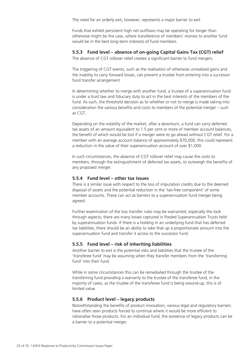The need for an orderly exit, however, represents a major barrier to exit.

Funds that exhibit persistent high net outflows may be operating for longer than otherwise might be the case, where transference of members' monies to another fund would be in the best long-term interests of fund members.

#### **5.5.3 Fund level – absence of on-going Capital Gains Tax (CGT) relief**

The absence of CGT rollover relief creates a significant barrier to fund mergers.

The triggering of CGT events, such as the realisation of otherwise unrealised gains and the inability to carry forward losses, can prevent a trustee from entering into a successor fund transfer arrangement.

In determining whether to merge with another fund, a trustee of a superannuation fund is under a trust law and fiduciary duty to act in the best interests of the members of the fund. As such, the threshold decision as to whether or not to merge is made taking into consideration the various benefits and costs to members of the potential merger – such as CGT.

Depending on the volatility of the market, after a downturn, a fund can carry deferred tax assets of an amount equivalent to 1.5 per cent or more of member account balances, the benefit of which would be lost if a merger were to go ahead without CGT relief. For a member with an average account balance of approximately \$70,000, this could represent a reduction in the value of their superannuation account of over \$1,000.

In such circumstances, the absence of CGT rollover relief may cause the costs to members, through the extinguishment of deferred tax assets, to outweigh the benefits of any proposed merger.

#### **5.5.4 Fund level – other tax issues**

There is a similar issue with respect to the loss of imputation credits due to the deemed disposal of assets and the potential reduction in the 'tax-free component' of some member accounts. These can act as barriers to a superannuation fund merger being agreed.

Further examination of the loss transfer rules may be warranted, especially the look through aspects; there are many losses captured in Pooled Superannuation Trusts held by superannuation funds. If there is a holding in an underlying fund that has deferred tax liabilities, there should be an ability to take that up a proportionate amount into the superannuation fund and transfer it across to the successor fund.

#### **5.5.5 Fund level – risk of inheriting liabilities**

Another barrier to exit is the potential risks and liabilities that the trustee of the 'transferee fund' may be assuming when they transfer members from the 'transferring fund' into their fund.

While in some circumstances this can be remediated through the trustee of the transferring fund providing a warranty to the trustee of the transferee fund, in the majority of cases, as the trustee of the transferee fund is being wound-up, this is of limited value.

#### **5.5.6 Product level – legacy products**

Notwithstanding the benefits of product innovation, various legal and regulatory barriers have often seen products forced to continue where it would be more efficient to rationalise those products. For an individual fund, the existence of legacy products can be a barrier to a potential merger.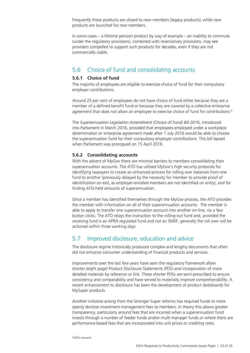Frequently these products are closed to new members (legacy products), while new products are launched for new members.

In some cases – a lifetime pension product by way of example – an inability to commute (under the regulatory provisions), combined with reversionary provisions, may see providers compelled to support such products for decades, even if they are not commercially viable.

### 5.6 Choice of fund and consolidating accounts

#### **5.6.1 Choice of fund**

The majority of employees are eligible to exercise choice of fund for their compulsory employer contributions.

Around 25 per cent of employees do not have choice of fund either because they are a member of a defined benefit fund or because they are covered by a collective enterprise agreement that does not allow an employee to exercise choice of fund for contributions.<sup>9</sup>

The *Superannuation Legislation Amendment (Choice of Fund) Bill 2016*, introduced into Parliament in March 2016, provided that employees employed under a workplace determination or enterprise agreement made after 1 July 2016 would be able to choose the superannuation fund for their compulsory employer contributions. This bill lapsed when Parliament was prorogued on 15 April 2016.

#### **5.6.2 Consolidating accounts**

With the advent of MyGov there are minimal barriers to members consolidating their superannuation accounts. The ATO has utilised MyGov's high security protocols for identifying taxpayers to create an enhanced process for rolling over balances from one fund to another (previously delayed by the necessity for member to provide proof of identification on exit, as employer-enrolled members are not identified on entry), and for finding ATO-held amounts of superannuation.

Once a member has identified themselves through the MyGov process, the ATO provides the member with information on all of their superannuation accounts. The member is able to apply to transfer one superannuation account into another on-line, via a few button clicks. The ATO relays the instruction to the rolling-out fund and, provided the receiving fund is an APRA regulated fund and not an SMSF, generally the roll over will be actioned within three working days.

### 5.7 Improved disclosure, education and advice

The disclosure regime historically produced complex and lengthy documents that often did not enhance consumer understanding of financial products and services.

Improvements over the last few years have seen the regulatory framework allow shorter (eight page) Product Disclosure Statements (PDS) and incorporation of more detailed materials by reference or link. These shorter PDSs are semi-prescribed to ensure consistency and comparability and have served to materially improve comprehensibility. A recent enhancement to disclosure has been the development of product dashboards for MySuper products.

Another initiative arising from the Stronger Super reforms has required funds to more openly disclose investment management fees to members. In theory this allows greater transparency, particularly around fees that are incurred when a superannuation fund invests through a number of feeder funds and/or multi-manager funds or where there are performance-based fees that are incorporated into unit prices or crediting rates.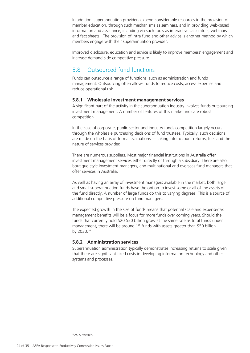In addition, superannuation providers expend considerable resources in the provision of member education, through such mechanisms as seminars, and in providing web-based information and assistance, including via such tools as interactive calculators, webinars and fact sheets. The provision of intra fund and other advice is another method by which members engage with their superannuation provider.

Improved disclosure, education and advice is likely to improve members' engagement and increase demand-side competitive pressure.

### 5.8 Outsourced fund functions

Funds can outsource a range of functions, such as administration and funds management. Outsourcing often allows funds to reduce costs, access expertise and reduce operational risk.

#### **5.8.1 Wholesale investment management services**

A significant part of the activity in the superannuation industry involves funds outsourcing investment management. A number of features of this market indicate robust competition.

In the case of corporate, public sector and industry funds competition largely occurs through the wholesale purchasing decisions of fund trustees. Typically, such decisions are made on the basis of formal evaluations — taking into account returns, fees and the nature of services provided.

There are numerous suppliers. Most major financial institutions in Australia offer investment management services either directly or through a subsidiary. There are also boutique-style investment managers, and multinational and overseas fund managers that offer services in Australia.

As well as having an array of investment managers available in the market, both large and small superannuation funds have the option to invest some or all of the assets of the fund directly. A number of large funds do this to varying degrees. This is a source of additional competitive pressure on fund managers.

The expected growth in the size of funds means that potential scale and expense/tax management benefits will be a focus for more funds over coming years. Should the funds that currently hold \$20 \$50 billion grow at the same rate as total funds under management, there will be around 15 funds with assets greater than \$50 billion by 2030.10

#### **5.8.2 Administration services**

Superannuation administration typically demonstrates increasing returns to scale given that there are significant fixed costs in developing information technology and other systems and processes.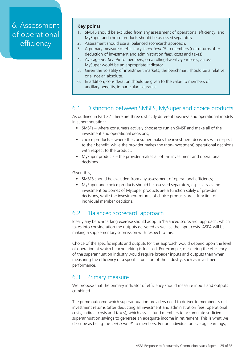# 6. Assessment of operational efficiency

#### **Key points**

- 1. SMSFS should be excluded from any assessment of operational efficiency, and MySuper and choice products should be assessed separately.
- 2. Assessment should use a 'balanced scorecard' approach.
- 3. A primary measure of efficiency is *net benefit* to members (net returns after deduction of investment and administration fees, costs and taxes).
- 4. Average *net benefit* to members, on a rolling-twenty-year basis, across MySuper would be an appropriate indicator.
- 5. Given the volatility of investment markets, the benchmark should be a relative one, not an absolute.
- 6. In addition, consideration should be given to the value to members of ancillary benefits, in particular insurance.

### 6.1 Distinction between SMSFS, MySuper and choice products

As outlined in Part 3.1 there are three distinctly different business and operational models in superannuation: -

- SMSFs where consumers actively choose to run an SMSF and make all of the investment and operational decisions;
- choice products where the consumer makes the investment decisions with respect to their benefit, while the provider makes the (non-investment) operational decisions with respect to the product;
- MySuper products the provider makes all of the investment and operational decisions.

Given this,

- SMSFS should be excluded from any assessment of operational efficiency;
- MySuper and choice products should be assessed separately, especially as the investment outcomes of MySuper products are a function solely of provider decisions, while the investment returns of choice products are a function of individual member decisions.

### 6.2 'Balanced scorecard' approach

Ideally any benchmarking exercise should adopt a 'balanced scorecard' approach, which takes into consideration the outputs delivered as well as the input costs. ASFA will be making a supplementary submission with respect to this.

Choice of the specific inputs and outputs for this approach would depend upon the level of operation at which benchmarking is focused. For example, measuring the efficiency of the superannuation industry would require broader inputs and outputs than when measuring the efficiency of a specific function of the industry, such as investment performance.

### 6.3 Primary measure

We propose that the primary indicator of efficiency should measure inputs and outputs combined.

The prime outcome which superannuation providers need to deliver to members is net investment returns (after deducting all investment and administration fees, operational costs, indirect costs and taxes), which assists fund members to accumulate sufficient superannuation savings to generate an adequate income in retirement. This is what we describe as being the '*net benefit*' to members. For an individual on average earnings,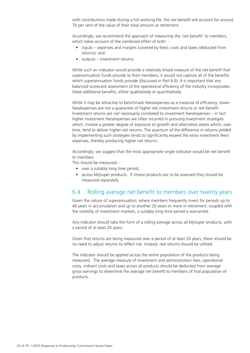with contributions made during a full working life, the *net benefit* will account for around 70 per cent of the value of their total amount at retirement.

Accordingly, we recommend the approach of measuring the '*net benefit*' to members, which takes account of the combined effect of both: -

- inputs expenses and margins (covered by fees); costs and taxes (deducted from returns); and
- outputs investment returns.

While such an indicator would provide a relatively broad measure of the *net benefit* that superannuation funds provide to their members, it would not capture all of the benefits which superannuation funds provide (discussed in Part 6.6). It is important that any balanced scorecard assessment of the operational efficiency of the industry incorporates these additional benefits, either qualitatively or quantitatively.

While it may be attractive to benchmark fees/expenses as a measure of efficiency, lower fees/expenses are not a guarantee of higher net investment returns or *net benefit*. Investment returns are not necessarily correlated to investment fees/expenses – in fact higher investment fees/expenses are often incurred in pursuing investment strategies which, involve a greater degree of exposure to growth and alternative assets which, over time, tend to deliver higher net returns. The quantum of the difference in returns yielded by implementing such strategies tends to significantly exceed the extra investment fees/ expenses, thereby producing higher net returns.

Accordingly, we suggest that the most appropriate single indicator would be *net benefit* to members.

This should be measured: -

- over a suitably long time period:
- across MySuper products. If choice products are to be assessed they should be measured separately.

### 6.4 Rolling average net benefit to members over twenty years

Given the nature of superannuation, where members frequently invest for periods up to 40 years in accumulation and up to another 20 years or more in retirement, coupled with the volatility of investment markets, a suitably long time period is warranted.

Any indicator should take the form of a rolling average across all MySuper products, with a period of at least 20 years.

Given that returns are being measured over a period of at least 20 years, there should be no need to adjust returns to reflect risk. Instead, real returns should be utilised.

The indicator should be applied across the entire population of the products being measured. The average measure of investment and administration fees, operational costs, indirect costs and taxes across all products should be deducted from average gross earnings to determine the average *net benefit* to members of that population of products.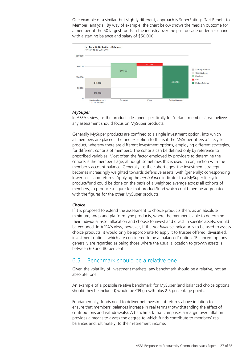One example of a similar, but slightly different, approach is SuperRatings 'Net Benefit to Member' analysis. By way of example, the chart below shows the median outcome for a member of the 50 largest funds in the industry over the past decade under a scenario with a starting balance and salary of \$50,000.



#### *MySuper*

In ASFA's view, as the products designed specifically for 'default members', we believe any assessment should focus on MySuper products.

Generally MySuper products are confined to a single investment option, into which all members are placed. The one exception to this is if the MySuper offers a 'lifecycle' product, whereby there are different investment options, employing different strategies, for different cohorts of members. The cohorts can be defined only by reference to prescribed variables. Most often the factor employed by providers to determine the cohorts is the member's age, although sometimes this is used in conjunction with the member's account balance. Generally, as the cohort ages, the investment strategy becomes increasingly weighted towards defensive assets, with (generally) corresponding lower costs and returns. Applying the *net balance* indicator to a MySuper lifecycle product/fund could be done on the basis of a weighted average across all cohorts of members, to produce a figure for that product/fund which could then be aggregated with the figures for the other MySuper products.

#### *Choice*

If it is proposed to extend the assessment to choice products then, as an absolute minimum, wrap and platform type products, where the member is able to determine their individual asset allocation and choose to invest and divest in specific assets, should be excluded. In ASFA's view, however, if the *net balance* indicator is to be used to assess choice products, it would only be appropriate to apply it to trustee offered, diversified, investment options which are considered to be a 'balanced' option. 'Balanced' options generally are regarded as being those where the usual allocation to growth assets is between 60 and 80 per cent.

#### 6.5 Benchmark should be a relative one

Given the volatility of investment markets, any benchmark should be a relative, not an absolute, one.

An example of a possible relative benchmark for MySuper (and balanced choice options should they be included) would be CPI growth plus 2.5 percentage points.

Fundamentally, funds need to deliver net investment returns above inflation to ensure that members' balances increase in real terms (notwithstanding the effect of contributions and withdrawals). A benchmark that comprises a margin over inflation provides a means to assess the degree to which funds contribute to members' real balances and, ultimately, to their retirement income.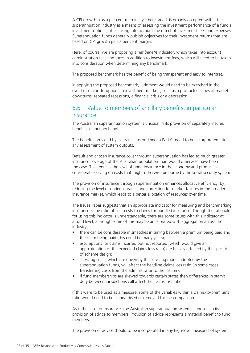A CPI growth plus a per cent margin style benchmark is broadly accepted within the superannuation industry as a means of assessing the investment performance of a fund's investment options, after taking into account the effect of investment fees and expenses. Superannuation funds generally publish objectives for their investment returns that are based on CPI growth plus a per cent margin.

Here, of course, we are proposing a *net benefit* indicator, which takes into account administration fees and taxes in addition to investment fees, which will need to be taken into consideration when determining any benchmark.

The proposed benchmark has the benefit of being transparent and easy to interpret.

In applying the proposed benchmark, judgment would need to be exercised in the event of major disruptions to investment markets, such as a protracted series of market downturns; repeated recessions, a financial crisis or a depression.

### 6.6 Value to members of ancillary benefits, in particular insurance

The Australian superannuation system is unusual in its provision of separately insured benefits as ancillary benefits.

The benefits provided by insurance, as outlined in Part 0, need to be incorporated into any assessment of system outputs.

Default and chosen insurance cover through superannuation has led to much greater insurance coverage of the Australian population than would otherwise have been the case. This reduces the level of underinsurance in the economy and produces a considerable saving on costs that might otherwise be borne by the social security system.

The provision of insurance through superannuation enhances allocative efficiency, by reducing the level of underinsurance and correcting for market failures in the broader insurance market, which leads to a better allocation of resources over time.

The Issues Paper suggests that an appropriate indicator for measuring and benchmarking insurance is the ratio of user costs to claims for bundled insurance. Though the rationale for using this indicator is understandable, there are some issues with this indicator at a fund level, although some of this may be ameliorated with aggregation across the industry:

- there can be considerable mismatches in timing between a premium being paid and the claim being paid (this could be many years);
- assumptions for claims incurred but not reported (which would give an approximation of the expected claims loss ratio) are heavily affected by the specifics of scheme design;
- servicing costs, which are driven by the servicing model adopted by the superannuation funds, will affect the headline claims loss ratio (in some cases transferring costs from the administrator to the insurer);
- if fund memberships are skewed towards certain states then differences in stamp duty between jurisdictions will affect the claims loss ratio.

If this were to be used as a measure, some of the variables within a claims-to-premiums ratio would need to be standardised or removed for fair comparison.

As is the case for insurance, the Australian superannuation system is unusual in its provision of advice to members. Provision of advice represents a material benefit to fund members.

The provision of advice should to be incorporated in any high-level measures of system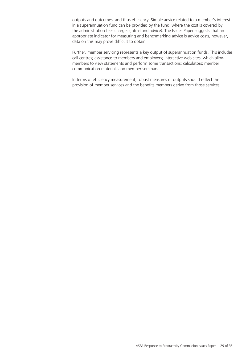outputs and outcomes, and thus efficiency. Simple advice related to a member's interest in a superannuation fund can be provided by the fund, where the cost is covered by the administration fees charges (intra-fund advice). The Issues Paper suggests that an appropriate indicator for measuring and benchmarking advice is advice costs, however, data on this may prove difficult to obtain.

Further, member servicing represents a key output of superannuation funds. This includes call centres; assistance to members and employers; interactive web sites, which allow members to view statements and perform some transactions; calculators; member communication materials and member seminars.

In terms of efficiency measurement, robust measures of outputs should reflect the provision of member services and the benefits members derive from those services.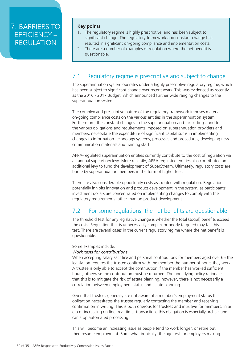## 7. BARRIERS TO EFFICIENCY – REGULATION

#### **Key points**

- 1. The regulatory regime is highly prescriptive, and has been subject to significant change. The regulatory framework and constant change has resulted in significant on-going compliance and implementation costs.
- 2. There are a number of examples of regulation where the net benefit is questionable.

### 7.1 Regulatory regime is prescriptive and subject to change

The superannuation system operates under a highly prescriptive regulatory regime, which has been subject to significant change over recent years. This was evidenced as recently as the 2016 - 2017 Budget, which announced further wide ranging changes to the superannuation system.

The complex and prescriptive nature of the regulatory framework imposes material on-going compliance costs on the various entities in the superannuation system. Furthermore, the constant changes to the superannuation and tax settings, and to the various obligations and requirements imposed on superannuation providers and members, necessitate the expenditure of significant capital sums in implementing changes to information technology systems, processes and procedures; developing new communication materials and training staff.

APRA-regulated superannuation entities currently contribute to the cost of regulation via an annual supervisory levy. More recently, APRA regulated entities also contributed an additional levy to fund the development of SuperStream. Ultimately, regulatory costs are borne by superannuation members in the form of higher fees.

There are also considerable opportunity costs associated with regulation. Regulation potentially inhibits innovation and product development in the system, as participants' investment dollars are concentrated on implementing changes to comply with the regulatory requirements rather than on product development.

### 7.2 For some regulations, the net benefits are questionable

The threshold test for any legislative change is whether the total (social) benefits exceed the costs. Regulation that is unnecessarily complex or poorly targeted may fail this test. There are several cases in the current regulatory regime where the net benefit is questionable.

#### Some examples include:

#### *Work tests for contributions*

When accepting salary sacrifice and personal contributions for members aged over 65 the legislation requires the trustee confirm with the member the number of hours they work. A trustee is only able to accept the contribution if the member has worked sufficient hours, otherwise the contribution must be returned. The underlying policy rationale is that this is to mitigate the risk of estate planning, however, there is not necessarily a correlation between employment status and estate planning.

Given that trustees generally are not aware of a member's employment status this obligation necessitates the trustee regularly contacting the member and receiving confirmation in writing. This is both onerous for trustees and intrusive for members. In an era of increasing on-line, real-time, transactions this obligation is especially archaic and can stop automated processing.

This will become an increasing issue as people tend to work longer, or retire but then resume employment. Somewhat ironically, the age test for employers making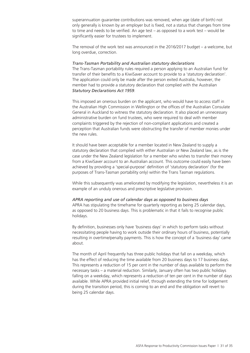superannuation guarantee contributions was removed, when age (date of birth) not only generally is known by an employer but is fixed, not a status that changes from time to time and needs to be verified. An age test – as opposed to a work test – would be significantly easier for trustees to implement.

The removal of the work test was announced in the 2016/2017 budget – a welcome, but long overdue, correction.

#### *Trans-Tasman Portability and Australian statutory declarations*

The Trans-Tasman portability rules required a person applying to an Australian fund for transfer of their benefits to a KiwiSaver account to provide to a 'statutory declaration'. The application could only be made after the person exited Australia, however, the member had to provide a statutory declaration that complied with the Australian *Statutory Declarations Act 1959*.

This imposed an onerous burden on the applicant, who would have to access staff in the Australian High Commission in Wellington or the offices of the Australian Consulate General in Auckland to witness the statutory declaration. It also placed an unnecessary administrative burden on fund trustees, who were required to deal with member complaints triggered by the rejection of non-compliant applications and created a perception that Australian funds were obstructing the transfer of member monies under the new rules.

It should have been acceptable for a member located in New Zealand to supply a statutory declaration that complied with either Australian or New Zealand law, as is the case under the New Zealand legislation for a member who wishes to transfer their money from a KiwiSaver account to an Australian account. This outcome could easily have been achieved by providing a 'special-purpose' definition of 'statutory declaration' (for the purposes of Trans-Tasman portability only) within the Trans Tasman regulations.

While this subsequently was ameliorated by modifying the legislation, nevertheless it is an example of an unduly onerous and prescriptive legislative provision.

#### *APRA reporting and use of calendar days as opposed to business days*

APRA has stipulating the timeframe for quarterly reporting as being 25 calendar days, as opposed to 20 business days. This is problematic in that it fails to recognise public holidays.

By definition, businesses only have 'business days' in which to perform tasks without necessitating people having to work outside their ordinary hours of business, potentially resulting in overtime/penalty payments. This is how the concept of a 'business day' came about.

The month of April frequently has three public holidays that fall on a weekday, which has the effect of reducing the time available from 20 business days to 17 business days. This represents a reduction of 15 per cent in the number of days available to perform the necessary tasks – a material reduction. Similarly, January often has two public holidays falling on a weekday, which represents a reduction of ten per cent in the number of days available. While APRA provided initial relief, through extending the time for lodgement during the transition period, this is coming to an end and the obligation will revert to being 25 calendar days.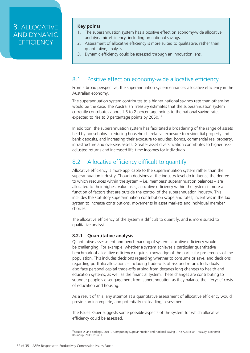### 8. ALLOCATIVE AND DYNAMIC **FFFICIENCY**

#### **Key points**

- 1. The superannuation system has a positive effect on economy-wide allocative and dynamic efficiency, including on national savings.
- 2. Assessment of allocative efficiency is more suited to qualitative, rather than quantitative, analysis.
- 3. Dynamic efficiency could be assessed through an innovation lens.

### 8.1 Positive effect on economy-wide allocative efficiency

From a broad perspective, the superannuation system enhances allocative efficiency in the Australian economy.

The superannuation system contributes to a higher national savings rate than otherwise would be the case. The Australian Treasury estimates that the superannuation system currently contributes about 1.5 to 2 percentage points to the national saving rate, expected to rise to 3 percentage points by 2050.<sup>11</sup>

In addition, the superannuation system has facilitated a broadening of the range of assets held by households – reducing households' relative exposure to residential property and bank deposits, and increasing their exposure to equities, bonds, commercial real property, infrastructure and overseas assets. Greater asset diversification contributes to higher riskadjusted returns and increased life-time incomes for individuals.

### 8.2 Allocative efficiency difficult to quantify

Allocative efficiency is more applicable to the superannuation system rather than the superannuation industry. Though decisions at the industry level do influence the degree to which resources within the system – i.e. members' superannuation balances – are allocated to their highest value uses, allocative efficiency within the system is more a function of factors that are outside the control of the superannuation industry. This includes the statutory superannuation contribution scope and rates; incentives in the tax system to increase contributions, movements in asset markets and individual member choices.

The allocative efficiency of the system is difficult to quantify, and is more suited to qualitative analysis.

#### **8.2.1 Quantitative analysis**

Quantitative assessment and benchmarking of system allocative efficiency would be challenging. For example, whether a system achieves a particular quantitative benchmark of allocative efficiency requires knowledge of the particular preferences of the population. This includes decisions regarding whether to consume or save, and decisions regarding portfolio allocations – including trade-offs of risk and return. Individuals also face personal capital trade-offs arising from decades long changes to health and education systems, as well as the financial system. These changes are contributing to younger people's disengagement from superannuation as they balance the lifecycle' costs of education and housing.

As a result of this, any attempt at a quantitative assessment of allocative efficiency would provide an incomplete, and potentially misleading, assessment.

The Issues Paper suggests some possible aspects of the system for which allocative efficiency could be assessed.

11Gruen D. and Soding L. 2011, 'Compulsory Superannuation and National Saving', The Australian Treasury, Economic Roundup, 2011, Issue 3.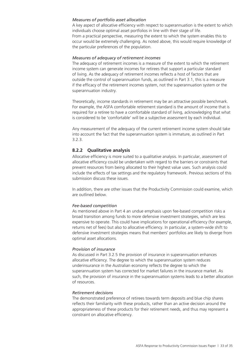#### *Measures of portfolio asset allocation*

A key aspect of allocative efficiency with respect to superannuation is the extent to which individuals choose optimal asset portfolios in line with their stage of life. From a practical perspective, measuring the extent to which the system enables this to occur would be extremely challenging. As noted above, this would require knowledge of the particular preferences of the population.

#### *Measures of adequacy of retirement incomes*

The adequacy of retirement incomes is a measure of the extent to which the retirement income system can generate incomes for retirees that support a particular standard of living. As the adequacy of retirement incomes reflects a host of factors that are outside the control of superannuation funds, as outlined in Part 3.1, this is a measure if the efficacy of the retirement incomes system, not the superannuation system or the superannuation industry.

Theoretically, income standards in retirement may be an attractive possible benchmark. For example, the ASFA comfortable retirement standard is the amount of income that is required for a retiree to have a comfortable standard of living, acknowledging that what is considered to be 'comfortable' will be a subjective assessment by each individual.

Any measurement of the adequacy of the current retirement income system should take into account the fact that the superannuation system is immature, as outlined in Part 3.2.3.

#### **8.2.2 Qualitative analysis**

Allocative efficiency is more suited to a qualitative analysis. In particular, assessment of allocative efficiency could be undertaken with regard to the barriers or constraints that prevent resources from being allocated to their highest value uses. Such analysis could include the effects of tax settings and the regulatory framework. Previous sections of this submission discuss these issues.

In addition, there are other issues that the Productivity Commission could examine, which are outlined below.

#### *Fee-based competition*

As mentioned above in Part 4 an undue emphasis upon fee-based competition risks a broad transition among funds to more defensive investment strategies, which are less expensive to operate. This could have implications for operational efficiency (for example, returns net of fees) but also to allocative efficiency. In particular, a system-wide shift to defensive investment strategies means that members' portfolios are likely to diverge from optimal asset allocations.

#### *Provision of insurance*

As discussed in Part 3.2.5 the provision of insurance in superannuation enhances allocative efficiency. The degree to which the superannuation system reduces underinsurance in the Australian economy reflects the degree to which the superannuation system has corrected for market failures in the insurance market. As such, the provision of insurance in the superannuation systems leads to a better allocation of resources.

#### *Retirement decisions*

The demonstrated preference of retirees towards term deposits and blue chip shares reflects their familiarity with these products, rather than an active decision around the appropriateness of these products for their retirement needs, and thus may represent a constraint on allocative efficiency.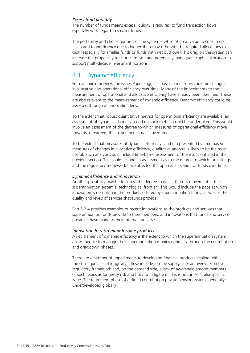#### *Excess fund liquidity*

The number of funds means excess liquidity is required to fund transaction flows, especially with regard to smaller funds.

The portability and choice features of the system – while of great value to consumers – can add to inefficiency due to higher-than-may-otherwise-be-required allocations to cash (especially for smaller funds or funds with net outflows).This drag on the system can increase the propensity to short-termism, and potentially inadequate capital allocation to support multi-decade investment horizons.

### 8.3 Dynamic efficiency

For dynamic efficiency, the Issues Paper suggests possible measures could be changes in allocative and operational efficiency over time. Many of the impediments to the measurement of operational and allocative efficiency have already been identified. These are also relevant to the measurement of dynamic efficiency. Dynamic efficiency could be assessed through an innovation lens.

To the extent that robust quantitative metrics for operational efficiency are available, an assessment of dynamic efficiency based on such metrics could be undertaken. This would involve an assessment of the degree to which measures of operational efficiency move towards, or exceed, their given benchmarks over time.

To the extent that measures of dynamic efficiency can be represented by time-based measures of changes in allocative efficiency, qualitative analysis is likely to be the most useful. Such analysis could include time-based assessment of the issues outlined in the previous section. This could include an assessment as to the degree to which tax settings and the regulatory framework have affected the optimal allocation of funds over time.

#### *Dynamic efficiency and innovation*

Another possibility may be to assess the degree to which there is movement in the superannuation system's 'technological frontier'. This would include the pace at which innovation is occurring in the products offered by superannuation funds, as well as the quality and levels of services that funds provide.

Part 5.2.4 provides examples of recent innovations to the products and services that superannuation funds provide to their members, and innovations that funds and service providers have made to their internal processes.

#### *Innovation in retirement income products*

A key element of dynamic efficiency is the extent to which the superannuation system allows people to manage their superannuation monies optimally through the contribution and drawdown phases.

There are a number of impediments to developing financial products dealing with the consequences of longevity. These include, on the supply side, an overly restrictive regulatory framework and, on the demand side, a lack of awareness among members of such issues as longevity risk and how to mitigate it. This is not an Australia-specific issue. The retirement phase of defined contribution private pension systems generally is underdeveloped globally .